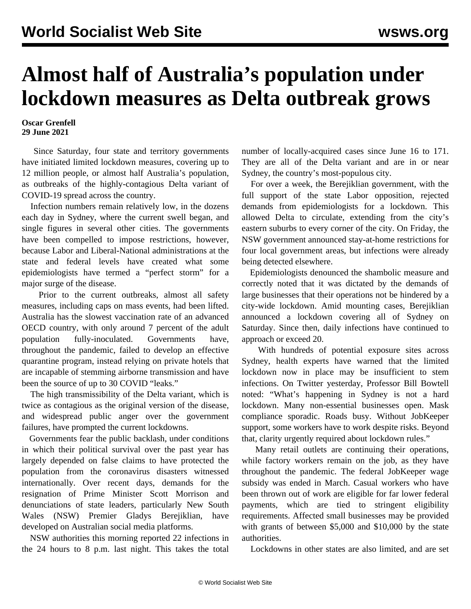## **Almost half of Australia's population under lockdown measures as Delta outbreak grows**

## **Oscar Grenfell 29 June 2021**

 Since Saturday, four state and territory governments have initiated limited lockdown measures, covering up to 12 million people, or almost half Australia's population, as outbreaks of the highly-contagious Delta variant of COVID-19 spread across the country.

 Infection numbers remain relatively low, in the dozens each day in Sydney, where the current swell began, and single figures in several other cities. The governments have been compelled to impose restrictions, however, because Labor and Liberal-National administrations at the state and federal levels have created what some epidemiologists have termed a "perfect storm" for a major surge of the disease.

 Prior to the current outbreaks, almost all safety measures, including caps on mass events, had been lifted. Australia has the slowest vaccination rate of an advanced OECD country, with only around 7 percent of the adult population fully-inoculated. Governments have, throughout the pandemic, failed to develop an effective quarantine program, instead relying on private hotels that are incapable of stemming airborne transmission and have been the source of up to 30 COVID "leaks."

 The high transmissibility of the Delta variant, which is twice as contagious as the original version of the disease, and widespread public anger over the government failures, have prompted the current lockdowns.

 Governments fear the public backlash, under conditions in which their political survival over the past year has largely depended on false claims to have protected the population from the coronavirus disasters witnessed internationally. Over recent days, demands for the resignation of Prime Minister Scott Morrison and denunciations of state leaders, particularly New South Wales (NSW) Premier Gladys Berejiklian, have developed on Australian social media platforms.

 NSW authorities this morning reported 22 infections in the 24 hours to 8 p.m. last night. This takes the total number of locally-acquired cases since June 16 to 171. They are all of the Delta variant and are in or near Sydney, the country's most-populous city.

 For over a week, the Berejiklian government, with the full support of the state Labor opposition, rejected demands from epidemiologists for a lockdown. This allowed Delta to circulate, extending from the city's eastern suburbs to every corner of the city. On Friday, the NSW government announced stay-at-home restrictions for four local government areas, but infections were already being detected elsewhere.

 Epidemiologists denounced the shambolic measure and correctly noted that it was dictated by the demands of large businesses that their operations not be hindered by a city-wide lockdown. Amid mounting cases, Berejiklian announced a lockdown covering all of Sydney on Saturday. Since then, daily infections have continued to approach or exceed 20.

 With hundreds of potential exposure sites across Sydney, health experts have warned that the limited lockdown now in place may be insufficient to stem infections. On Twitter yesterday, Professor Bill Bowtell noted: "What's happening in Sydney is not a hard lockdown. Many non-essential businesses open. Mask compliance sporadic. Roads busy. Without JobKeeper support, some workers have to work despite risks. Beyond that, clarity urgently required about lockdown rules."

 Many retail outlets are continuing their operations, while factory workers remain on the job, as they have throughout the pandemic. The federal JobKeeper wage subsidy was ended in March. Casual workers who have been thrown out of work are eligible for far lower federal payments, which are tied to stringent eligibility requirements. Affected small businesses may be provided with grants of between \$5,000 and \$10,000 by the state authorities.

Lockdowns in other states are also limited, and are set